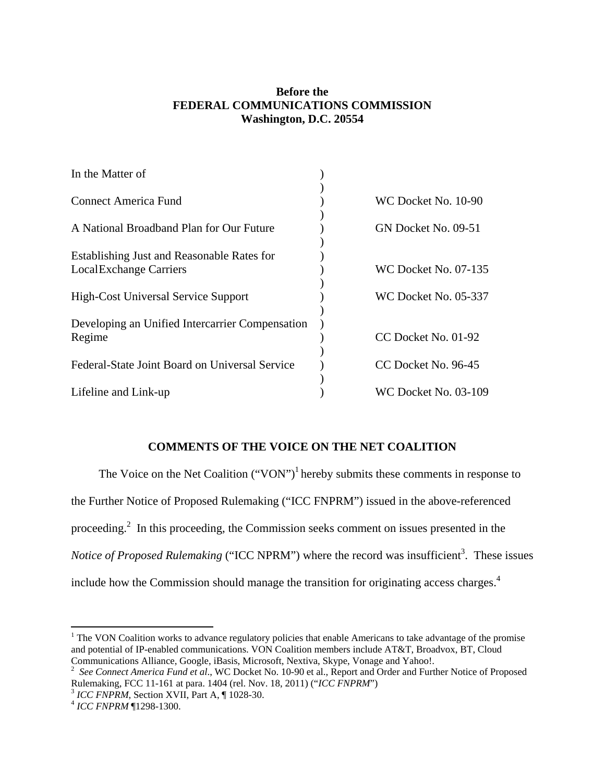## **Before the FEDERAL COMMUNICATIONS COMMISSION Washington, D.C. 20554**

| In the Matter of                                                             |                             |
|------------------------------------------------------------------------------|-----------------------------|
| <b>Connect America Fund</b>                                                  | WC Docket No. 10-90         |
| A National Broadband Plan for Our Future                                     | GN Docket No. 09-51         |
| Establishing Just and Reasonable Rates for<br><b>Local Exchange Carriers</b> | <b>WC Docket No. 07-135</b> |
| <b>High-Cost Universal Service Support</b>                                   | WC Docket No. 05-337        |
| Developing an Unified Intercarrier Compensation<br>Regime                    | CC Docket No. 01-92         |
| Federal-State Joint Board on Universal Service                               | CC Docket No. 96-45         |
| Lifeline and Link-up                                                         | WC Docket No. 03-109        |

# **COMMENTS OF THE VOICE ON THE NET COALITION**

The Voice on the Net Coalition  $("VON")^1$  hereby submits these comments in response to the Further Notice of Proposed Rulemaking ("ICC FNPRM") issued in the above-referenced proceeding.<sup>2</sup> In this proceeding, the Commission seeks comment on issues presented in the *Notice of Proposed Rulemaking* ("ICC NPRM") where the record was insufficient<sup>3</sup>. These issues include how the Commission should manage the transition for originating access charges.<sup>4</sup>

 $\overline{a}$ 

<sup>&</sup>lt;sup>1</sup> The VON Coalition works to advance regulatory policies that enable Americans to take advantage of the promise and potential of IP-enabled communications. VON Coalition members include AT&T, Broadvox, BT, Cloud Communications Alliance, Google, iBasis, Microsoft, Nextiva, Skype, Vonage and Yahoo!.<br><sup>2</sup> See Connect America Fund et al., WC Docket No. 10-90 et al., Report and Order and Further Notice of Proposed

Rulemaking, FCC 11-161 at para. 1404 (rel. Nov. 18, 2011) ("*ICC FNPRM*")<sup>3</sup> *ICC FNPRM*, Section XVII, Part A, ¶ 1028-30.<br><sup>4</sup> *ICC FNPRM* ¶1298-1300.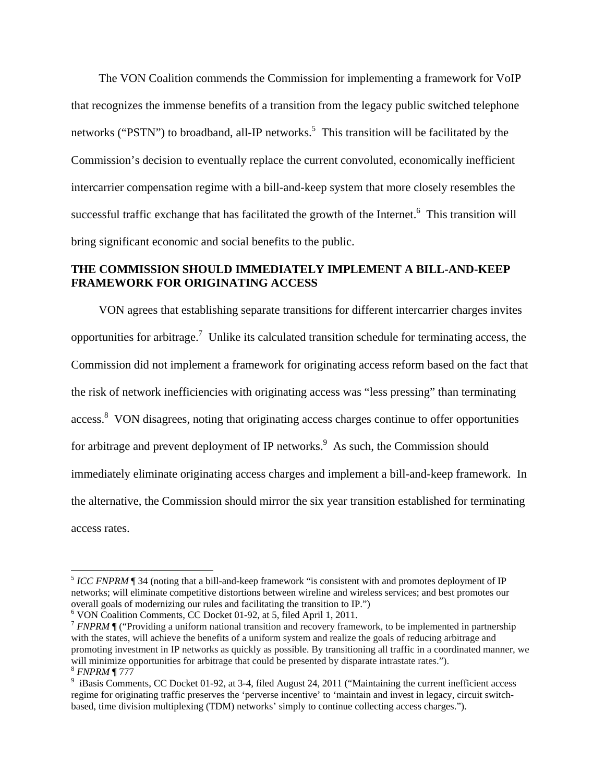The VON Coalition commends the Commission for implementing a framework for VoIP that recognizes the immense benefits of a transition from the legacy public switched telephone networks ("PSTN") to broadband, all-IP networks.<sup>5</sup> This transition will be facilitated by the Commission's decision to eventually replace the current convoluted, economically inefficient intercarrier compensation regime with a bill-and-keep system that more closely resembles the successful traffic exchange that has facilitated the growth of the Internet.<sup>6</sup> This transition will bring significant economic and social benefits to the public.

### **THE COMMISSION SHOULD IMMEDIATELY IMPLEMENT A BILL-AND-KEEP FRAMEWORK FOR ORIGINATING ACCESS**

VON agrees that establishing separate transitions for different intercarrier charges invites opportunities for arbitrage.<sup>7</sup> Unlike its calculated transition schedule for terminating access, the Commission did not implement a framework for originating access reform based on the fact that the risk of network inefficiencies with originating access was "less pressing" than terminating access.<sup>8</sup> VON disagrees, noting that originating access charges continue to offer opportunities for arbitrage and prevent deployment of IP networks.<sup>9</sup> As such, the Commission should immediately eliminate originating access charges and implement a bill-and-keep framework. In the alternative, the Commission should mirror the six year transition established for terminating access rates.

 $\overline{a}$ 

<sup>&</sup>lt;sup>5</sup> *ICC FNPRM* ¶ 34 (noting that a bill-and-keep framework "is consistent with and promotes deployment of IP networks; will eliminate competitive distortions between wireline and wireless services; and best promotes our overall goals of modernizing our rules and facilitating the transition to IP.")

<sup>&</sup>lt;sup>6</sup> VON Coalition Comments, CC Docket 01-92, at 5, filed April 1, 2011.

<sup>&</sup>lt;sup>7</sup> *FNPRM*  $\parallel$  ("Providing a uniform national transition and recovery framework, to be implemented in partnership with the states, will achieve the benefits of a uniform system and realize the goals of reducing arbitrage and promoting investment in IP networks as quickly as possible. By transitioning all traffic in a coordinated manner, we will minimize opportunities for arbitrage that could be presented by disparate intrastate rates.").<br>
<sup>8</sup> *FNPRM*  $\P$  777<br>
<sup>9</sup> iBasis Comments, CC Docket 01-92, at 3-4, filed August 24, 2011 ("Maintaining the current ineff

regime for originating traffic preserves the 'perverse incentive' to 'maintain and invest in legacy, circuit switchbased, time division multiplexing (TDM) networks' simply to continue collecting access charges.").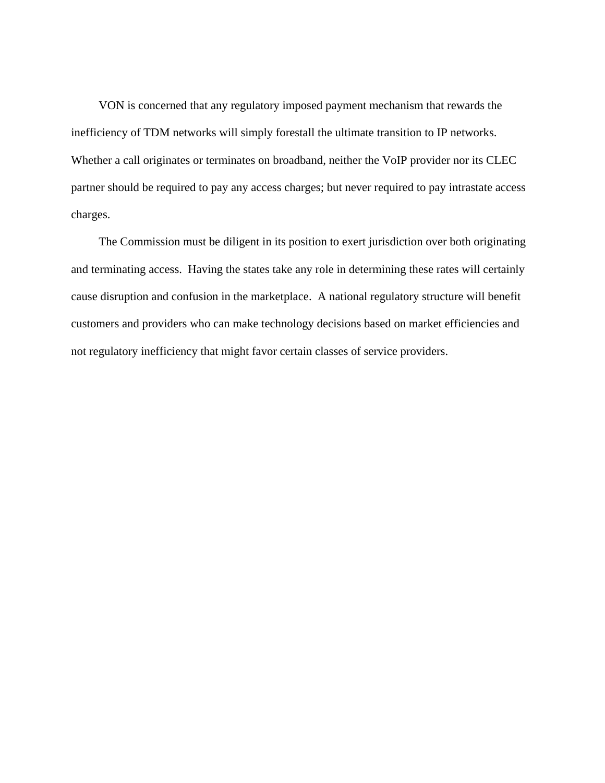VON is concerned that any regulatory imposed payment mechanism that rewards the inefficiency of TDM networks will simply forestall the ultimate transition to IP networks. Whether a call originates or terminates on broadband, neither the VoIP provider nor its CLEC partner should be required to pay any access charges; but never required to pay intrastate access charges.

 The Commission must be diligent in its position to exert jurisdiction over both originating and terminating access. Having the states take any role in determining these rates will certainly cause disruption and confusion in the marketplace. A national regulatory structure will benefit customers and providers who can make technology decisions based on market efficiencies and not regulatory inefficiency that might favor certain classes of service providers.